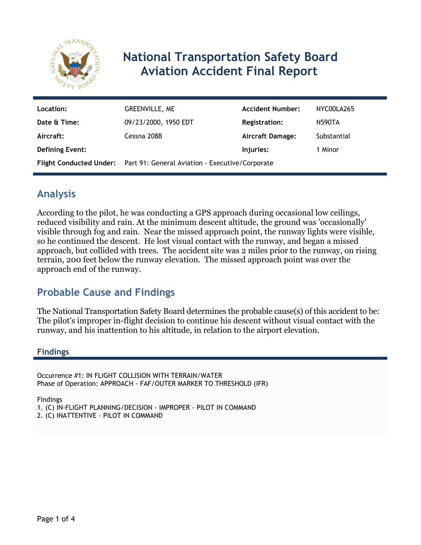

# **National Transportation Safety Board Aviation Accident Final Report**

| Location:              | GREENVILLE, ME                                                          | <b>Accident Number:</b> | NYC00LA265  |
|------------------------|-------------------------------------------------------------------------|-------------------------|-------------|
| Date & Time:           | 09/23/2000, 1950 EDT                                                    | <b>Registration:</b>    | N590TA      |
| Aircraft:              | Cessna 208B                                                             | Aircraft Damage:        | Substantial |
| <b>Defining Event:</b> |                                                                         | Injuries:               | 1 Minor     |
|                        | Flight Conducted Under: Part 91: General Aviation - Executive/Corporate |                         |             |

# **Analysis**

According to the pilot, he was conducting a GPS approach during occasional low ceilings, reduced visibility and rain. At the minimum descent altitude, the ground was 'occasionally' visible through fog and rain. Near the missed approach point, the runway lights were visible, so he continued the descent. He lost visual contact with the runway, and began a missed approach, but collided with trees. The accident site was 2 miles prior to the runway, on rising terrain, 200 feet below the runway elevation. The missed approach point was over the approach end of the runway.

# **Probable Cause and Findings**

The National Transportation Safety Board determines the probable cause(s) of this accident to be: The pilot's improper in-flight decision to continue his descent without visual contact with the runway, and his inattention to his altitude, in relation to the airport elevation.

### **Findings**

Occurrence #1: IN FLIGHT COLLISION WITH TERRAIN/WATER Phase of Operation: APPROACH - FAF/OUTER MARKER TO THRESHOLD (IFR)

Findings

1. (C) IN-FLIGHT PLANNING/DECISION - IMPROPER - PILOT IN COMMAND

2. (C) INATTENTIVE - PILOT IN COMMAND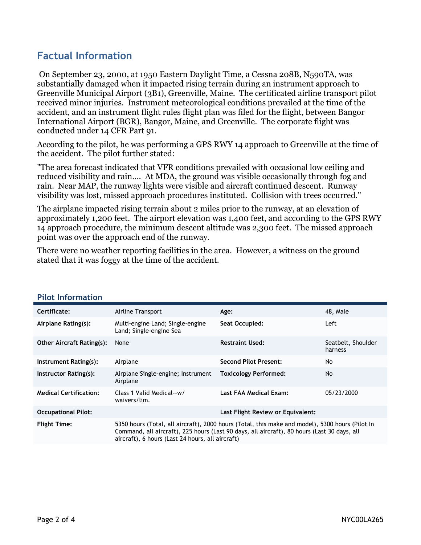# **Factual Information**

 On September 23, 2000, at 1950 Eastern Daylight Time, a Cessna 208B, N590TA, was substantially damaged when it impacted rising terrain during an instrument approach to Greenville Municipal Airport (3B1), Greenville, Maine. The certificated airline transport pilot received minor injuries. Instrument meteorological conditions prevailed at the time of the accident, and an instrument flight rules flight plan was filed for the flight, between Bangor International Airport (BGR), Bangor, Maine, and Greenville. The corporate flight was conducted under 14 CFR Part 91.

According to the pilot, he was performing a GPS RWY 14 approach to Greenville at the time of the accident. The pilot further stated:

"The area forecast indicated that VFR conditions prevailed with occasional low ceiling and reduced visibility and rain.... At MDA, the ground was visible occasionally through fog and rain. Near MAP, the runway lights were visible and aircraft continued descent. Runway visibility was lost, missed approach procedures instituted. Collision with trees occurred."

The airplane impacted rising terrain about 2 miles prior to the runway, at an elevation of approximately 1,200 feet. The airport elevation was 1,400 feet, and according to the GPS RWY 14 approach procedure, the minimum descent altitude was 2,300 feet. The missed approach point was over the approach end of the runway.

There were no weather reporting facilities in the area. However, a witness on the ground stated that it was foggy at the time of the accident.

| Certificate:                     | Airline Transport                                                                                                                                                                                                                                  | Age:                              | 48, Male                      |
|----------------------------------|----------------------------------------------------------------------------------------------------------------------------------------------------------------------------------------------------------------------------------------------------|-----------------------------------|-------------------------------|
| Airplane Rating(s):              | Multi-engine Land; Single-engine<br>Land; Single-engine Sea                                                                                                                                                                                        | Seat Occupied:                    | Left                          |
| <b>Other Aircraft Rating(s):</b> | None                                                                                                                                                                                                                                               | <b>Restraint Used:</b>            | Seatbelt, Shoulder<br>harness |
| Instrument Rating(s):            | Airplane                                                                                                                                                                                                                                           | <b>Second Pilot Present:</b>      | No                            |
| Instructor Rating(s):            | Airplane Single-engine; Instrument<br>Airplane                                                                                                                                                                                                     | <b>Toxicology Performed:</b>      | <b>No</b>                     |
| <b>Medical Certification:</b>    | Class 1 Valid Medical--w/<br>waivers/lim.                                                                                                                                                                                                          | Last FAA Medical Exam:            | 05/23/2000                    |
| <b>Occupational Pilot:</b>       |                                                                                                                                                                                                                                                    | Last Flight Review or Equivalent: |                               |
| <b>Flight Time:</b>              | 5350 hours (Total, all aircraft), 2000 hours (Total, this make and model), 5300 hours (Pilot In<br>Command, all aircraft), 225 hours (Last 90 days, all aircraft), 80 hours (Last 30 days, all<br>aircraft), 6 hours (Last 24 hours, all aircraft) |                                   |                               |

#### **Pilot Information**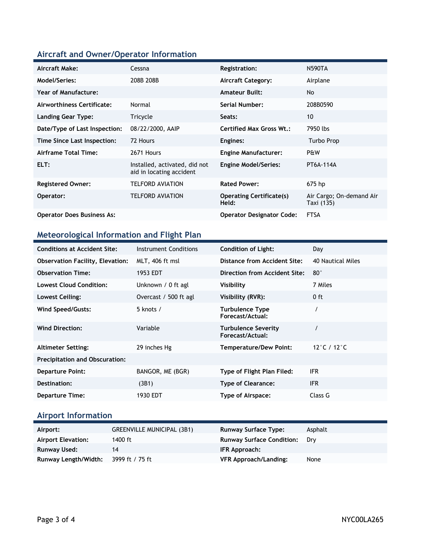## **Aircraft and Owner/Operator Information**

| Aircraft Make:                    | Cessna                                                    | <b>Registration:</b>                     | <b>N590TA</b>                          |
|-----------------------------------|-----------------------------------------------------------|------------------------------------------|----------------------------------------|
| Model/Series:                     | 208B 208B                                                 | <b>Aircraft Category:</b>                | Airplane                               |
| Year of Manufacture:              |                                                           | <b>Amateur Built:</b>                    | No                                     |
| Airworthiness Certificate:        | Normal                                                    | Serial Number:                           | 208B0590                               |
| <b>Landing Gear Type:</b>         | Tricycle                                                  | Seats:                                   | 10                                     |
| Date/Type of Last Inspection:     | 08/22/2000, AAIP                                          | <b>Certified Max Gross Wt.:</b>          | 7950 lbs                               |
| Time Since Last Inspection:       | 72 Hours                                                  | Engines:                                 | Turbo Prop                             |
| Airframe Total Time:              | 2671 Hours                                                | <b>Engine Manufacturer:</b>              | P&W                                    |
| ELT:                              | Installed, activated, did not<br>aid in locating accident | <b>Engine Model/Series:</b>              | PT6A-114A                              |
| <b>Registered Owner:</b>          | <b>TELFORD AVIATION</b>                                   | <b>Rated Power:</b>                      | 675 hp                                 |
| Operator:                         | <b>TELFORD AVIATION</b>                                   | <b>Operating Certificate(s)</b><br>Held: | Air Cargo; On-demand Air<br>Taxi (135) |
| <b>Operator Does Business As:</b> |                                                           | <b>Operator Designator Code:</b>         | <b>FTSA</b>                            |

## **Meteorological Information and Flight Plan**

| <b>Conditions at Accident Site:</b>     | Instrument Conditions | <b>Condition of Light:</b>                     | Day               |
|-----------------------------------------|-----------------------|------------------------------------------------|-------------------|
| <b>Observation Facility, Elevation:</b> | MLT, 406 ft msl       | <b>Distance from Accident Site:</b>            | 40 Nautical Miles |
| <b>Observation Time:</b>                | 1953 EDT              | Direction from Accident Site:                  | $80^\circ$        |
| <b>Lowest Cloud Condition:</b>          | Unknown / 0 ft agl    | Visibility                                     | 7 Miles           |
| Lowest Ceiling:                         | Overcast / 500 ft agl | Visibility (RVR):                              | $0$ ft            |
| Wind Speed/Gusts:                       | 5 knots /             | Turbulence Type<br>Forecast/Actual:            |                   |
| <b>Wind Direction:</b>                  | Variable              | <b>Turbulence Severity</b><br>Forecast/Actual: |                   |
| <b>Altimeter Setting:</b>               | 29 inches Hg          | <b>Temperature/Dew Point:</b>                  | 12 ° C / 12 ° C   |
| <b>Precipitation and Obscuration:</b>   |                       |                                                |                   |
| <b>Departure Point:</b>                 | BANGOR, ME (BGR)      | Type of Flight Plan Filed:                     | IFR.              |
| Destination:                            | (3B1)                 | <b>Type of Clearance:</b>                      | <b>IFR</b>        |
| <b>Departure Time:</b>                  | 1930 EDT              | Type of Airspace:                              | Class G           |

## **Airport Information**

| Airport:                  | <b>GREENVILLE MUNICIPAL (3B1)</b> | <b>Runway Surface Type:</b>      | Asphalt |
|---------------------------|-----------------------------------|----------------------------------|---------|
| <b>Airport Elevation:</b> | 1400 ft                           | <b>Runway Surface Condition:</b> | Drv     |
| Runway Used:              | 14                                | IFR Approach:                    |         |
| Runway Length/Width:      | 3999 ft / 75 ft                   | <b>VFR Approach/Landing:</b>     | None    |